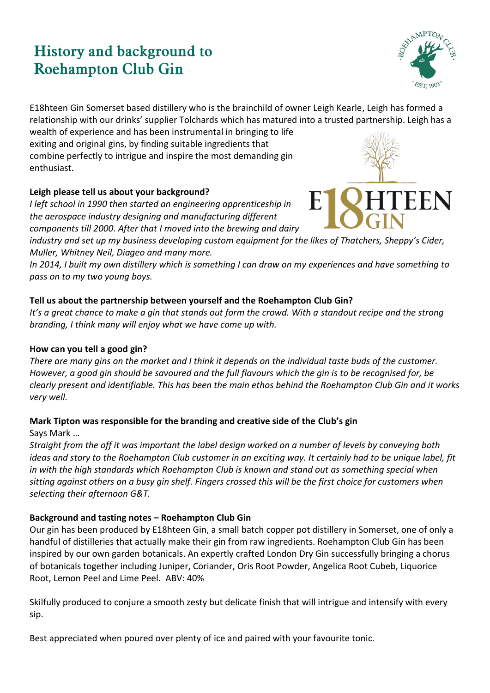# **History and background to Roehampton Club Gin**



E18hteen Gin Somerset based distillery who is the brainchild of owner Leigh Kearle, Leigh has formed a relationship with our drinks' supplier Tolchards which has matured into a trusted partnership. Leigh has a

wealth of experience and has been instrumental in bringing to life exiting and original gins, by finding suitable ingredients that combine perfectly to intrigue and inspire the most demanding gin enthusiast.

# **Leigh please tell us about your background?**

*I left school in 1990 then started an engineering apprenticeship in the aerospace industry designing and manufacturing different components till 2000. After that I moved into the brewing and dairy* 

*industry and set up my business developing custom equipment for the likes of Thatchers, Sheppy's Cider, Muller, Whitney Neil, Diageo and many more.*

*In 2014, I built my own distillery which is something I can draw on my experiences and have something to pass on to my two young boys.*

# **Tell us about the partnership between yourself and the Roehampton Club Gin?**

*It's a great chance to make a gin that stands out form the crowd. With a standout recipe and the strong branding, I think many will enjoy what we have come up with.*

# **How can you tell a good gin?**

*There are many gins on the market and I think it depends on the individual taste buds of the customer. However, a good gin should be savoured and the full flavours which the gin is to be recognised for, be clearly present and identifiable. This has been the main ethos behind the Roehampton Club Gin and it works very well.* 

# **Mark Tipton was responsible for the branding and creative side of the Club's gin**

Says Mark …

*Straight from the off it was important the label design worked on a number of levels by conveying both ideas and story to the Roehampton Club customer in an exciting way. It certainly had to be unique label, fit in with the high standards which Roehampton Club is known and stand out as something special when sitting against others on a busy gin shelf. Fingers crossed this will be the first choice for customers when selecting their afternoon G&T.* 

# **Background and tasting notes – Roehampton Club Gin**

Our gin has been produced by E18hteen Gin, a small batch copper pot distillery in Somerset, one of only a handful of distilleries that actually make their gin from raw ingredients. Roehampton Club Gin has been inspired by our own garden botanicals. An expertly crafted London Dry Gin successfully bringing a chorus of botanicals together including Juniper, Coriander, Oris Root Powder, Angelica Root Cubeb, Liquorice Root, Lemon Peel and Lime Peel. ABV: 40%

Skilfully produced to conjure a smooth zesty but delicate finish that will intrigue and intensify with every sip.

Best appreciated when poured over plenty of ice and paired with your favourite tonic.

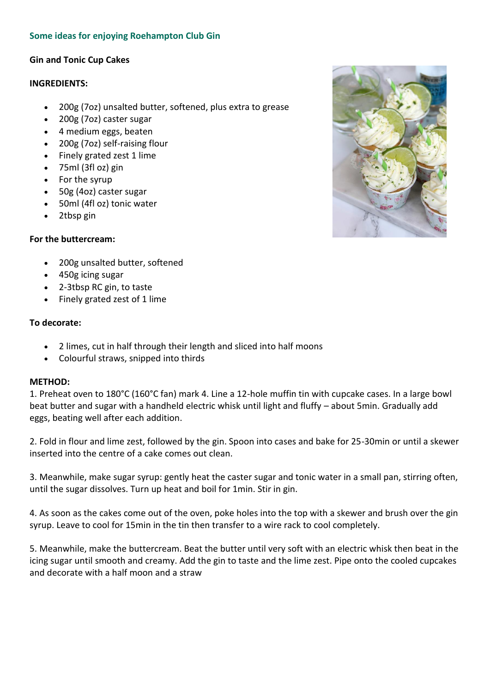# **Some ideas for enjoying Roehampton Club Gin**

## **Gin and Tonic Cup Cakes**

#### **INGREDIENTS:**

- 200g (7oz) unsalted butter, softened, plus extra to grease
- 200g (7oz) caster sugar
- 4 medium eggs, beaten
- 200g (7oz) self-raising flour
- Finely grated zest 1 lime
- 75ml (3fl oz) gin
- For the syrup
- 50g (4oz) caster sugar
- 50ml (4fl oz) tonic water
- 2tbsp gin

## **For the buttercream:**

- 200g unsalted butter, softened
- 450g icing sugar
- 2-3tbsp RC gin, to taste
- Finely grated zest of 1 lime

## **To decorate:**

- 2 limes, cut in half through their length and sliced into half moons
- Colourful straws, snipped into thirds

## **METHOD:**

1. Preheat oven to 180°C (160°C fan) mark 4. Line a 12-hole muffin tin with cupcake cases. In a large bowl beat butter and sugar with a handheld electric whisk until light and fluffy – about 5min. Gradually add eggs, beating well after each addition.

2. Fold in flour and lime zest, followed by the gin. Spoon into cases and bake for 25-30min or until a skewer inserted into the centre of a cake comes out clean.

3. Meanwhile, make sugar syrup: gently heat the caster sugar and tonic water in a small pan, stirring often, until the sugar dissolves. Turn up heat and boil for 1min. Stir in gin.

4. As soon as the cakes come out of the oven, poke holes into the top with a skewer and brush over the gin syrup. Leave to cool for 15min in the tin then transfer to a wire rack to cool completely.

5. Meanwhile, make the buttercream. Beat the butter until very soft with an electric whisk then beat in the icing sugar until smooth and creamy. Add the gin to taste and the lime zest. Pipe onto the cooled cupcakes and decorate with a half moon and a straw